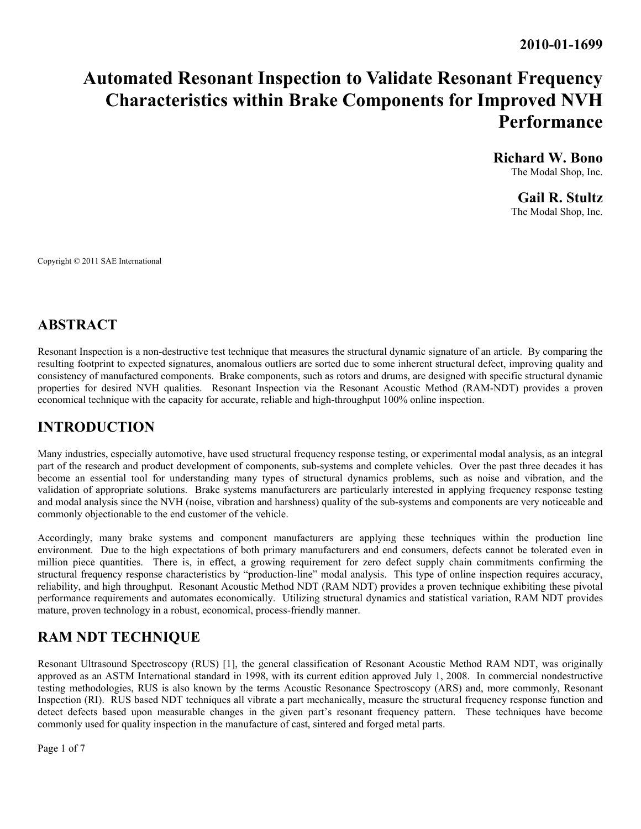# **Automated Resonant Inspection to Validate Resonant Frequency Characteristics within Brake Components for Improved NVH Performance**

**Richard W. Bono**  The Modal Shop, Inc.

> **Gail R. Stultz**  The Modal Shop, Inc.

Copyright © 2011 SAE International

#### **ABSTRACT**

Resonant Inspection is a non-destructive test technique that measures the structural dynamic signature of an article. By comparing the resulting footprint to expected signatures, anomalous outliers are sorted due to some inherent structural defect, improving quality and consistency of manufactured components. Brake components, such as rotors and drums, are designed with specific structural dynamic properties for desired NVH qualities. Resonant Inspection via the Resonant Acoustic Method (RAM-NDT) provides a proven economical technique with the capacity for accurate, reliable and high-throughput 100% online inspection.

#### **INTRODUCTION**

Many industries, especially automotive, have used structural frequency response testing, or experimental modal analysis, as an integral part of the research and product development of components, sub-systems and complete vehicles. Over the past three decades it has become an essential tool for understanding many types of structural dynamics problems, such as noise and vibration, and the validation of appropriate solutions. Brake systems manufacturers are particularly interested in applying frequency response testing and modal analysis since the NVH (noise, vibration and harshness) quality of the sub-systems and components are very noticeable and commonly objectionable to the end customer of the vehicle.

Accordingly, many brake systems and component manufacturers are applying these techniques within the production line environment. Due to the high expectations of both primary manufacturers and end consumers, defects cannot be tolerated even in million piece quantities. There is, in effect, a growing requirement for zero defect supply chain commitments confirming the structural frequency response characteristics by "production-line" modal analysis. This type of online inspection requires accuracy, reliability, and high throughput. Resonant Acoustic Method NDT (RAM NDT) provides a proven technique exhibiting these pivotal performance requirements and automates economically. Utilizing structural dynamics and statistical variation, RAM NDT provides mature, proven technology in a robust, economical, process-friendly manner.

#### **RAM NDT TECHNIQUE**

Resonant Ultrasound Spectroscopy (RUS) [1], the general classification of Resonant Acoustic Method RAM NDT, was originally approved as an ASTM International standard in 1998, with its current edition approved July 1, 2008. In commercial nondestructive testing methodologies, RUS is also known by the terms Acoustic Resonance Spectroscopy (ARS) and, more commonly, Resonant Inspection (RI). RUS based NDT techniques all vibrate a part mechanically, measure the structural frequency response function and detect defects based upon measurable changes in the given part's resonant frequency pattern. These techniques have become commonly used for quality inspection in the manufacture of cast, sintered and forged metal parts.

Page 1 of 7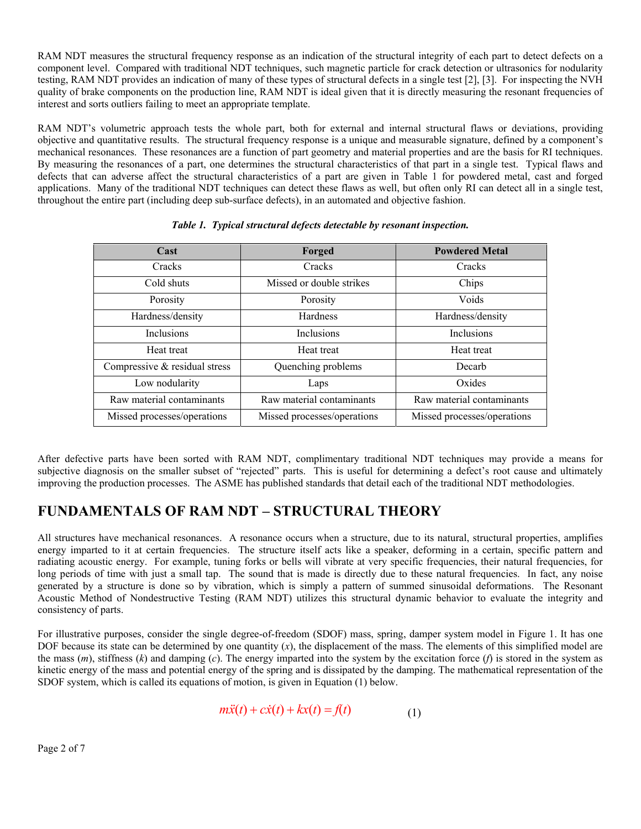RAM NDT measures the structural frequency response as an indication of the structural integrity of each part to detect defects on a component level. Compared with traditional NDT techniques, such magnetic particle for crack detection or ultrasonics for nodularity testing, RAM NDT provides an indication of many of these types of structural defects in a single test [2], [3]. For inspecting the NVH quality of brake components on the production line, RAM NDT is ideal given that it is directly measuring the resonant frequencies of interest and sorts outliers failing to meet an appropriate template.

RAM NDT's volumetric approach tests the whole part, both for external and internal structural flaws or deviations, providing objective and quantitative results. The structural frequency response is a unique and measurable signature, defined by a component's mechanical resonances. These resonances are a function of part geometry and material properties and are the basis for RI techniques. By measuring the resonances of a part, one determines the structural characteristics of that part in a single test. Typical flaws and defects that can adverse affect the structural characteristics of a part are given in Table 1 for powdered metal, cast and forged applications. Many of the traditional NDT techniques can detect these flaws as well, but often only RI can detect all in a single test, throughout the entire part (including deep sub-surface defects), in an automated and objective fashion.

| Cast                          | Forged                      | <b>Powdered Metal</b>       |  |
|-------------------------------|-----------------------------|-----------------------------|--|
| Cracks                        | Cracks                      | Cracks                      |  |
| Cold shuts                    | Missed or double strikes    | Chips                       |  |
| Porosity                      | Porosity                    | Voids                       |  |
| Hardness/density              | <b>Hardness</b>             | Hardness/density            |  |
| <b>Inclusions</b>             | <b>Inclusions</b>           | Inclusions                  |  |
| Heat treat                    | Heat treat                  | Heat treat                  |  |
| Compressive & residual stress | Quenching problems          | Decarb                      |  |
| Low nodularity                | Laps                        | Oxides                      |  |
| Raw material contaminants     | Raw material contaminants   | Raw material contaminants   |  |
| Missed processes/operations   | Missed processes/operations | Missed processes/operations |  |

*Table 1. Typical structural defects detectable by resonant inspection.* 

After defective parts have been sorted with RAM NDT, complimentary traditional NDT techniques may provide a means for subjective diagnosis on the smaller subset of "rejected" parts. This is useful for determining a defect's root cause and ultimately improving the production processes. The ASME has published standards that detail each of the traditional NDT methodologies.

### **FUNDAMENTALS OF RAM NDT – STRUCTURAL THEORY**

All structures have mechanical resonances. A resonance occurs when a structure, due to its natural, structural properties, amplifies energy imparted to it at certain frequencies. The structure itself acts like a speaker, deforming in a certain, specific pattern and radiating acoustic energy. For example, tuning forks or bells will vibrate at very specific frequencies, their natural frequencies, for long periods of time with just a small tap. The sound that is made is directly due to these natural frequencies. In fact, any noise generated by a structure is done so by vibration, which is simply a pattern of summed sinusoidal deformations. The Resonant Acoustic Method of Nondestructive Testing (RAM NDT) utilizes this structural dynamic behavior to evaluate the integrity and consistency of parts.

For illustrative purposes, consider the single degree-of-freedom (SDOF) mass, spring, damper system model in Figure 1. It has one DOF because its state can be determined by one quantity (x), the displacement of the mass. The elements of this simplified model are the mass  $(m)$ , stiffness  $(k)$  and damping  $(c)$ . The energy imparted into the system by the excitation force  $(f)$  is stored in the system as kinetic energy of the mass and potential energy of the spring and is dissipated by the damping. The mathematical representation of the SDOF system, which is called its equations of motion, is given in Equation (1) below.

$$
m\ddot{x}(t) + c\dot{x}(t) + kx(t) = f(t)
$$
\n(1)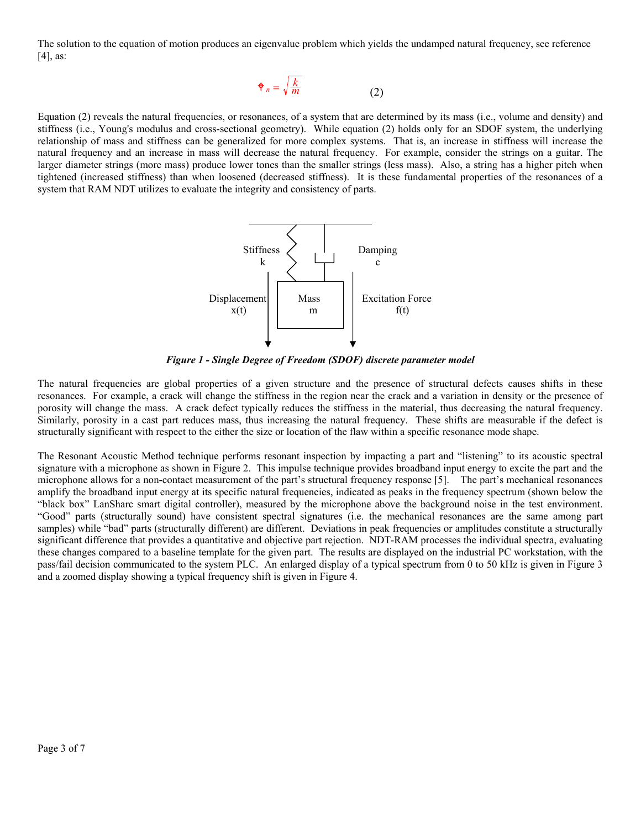The solution to the equation of motion produces an eigenvalue problem which yields the undamped natural frequency, see reference [4], as:

$$
\mathbf{\Phi}_n = \sqrt{\frac{k}{m}} \tag{2}
$$

Equation (2) reveals the natural frequencies, or resonances, of a system that are determined by its mass (i.e., volume and density) and stiffness (i.e., Young's modulus and cross-sectional geometry). While equation (2) holds only for an SDOF system, the underlying relationship of mass and stiffness can be generalized for more complex systems. That is, an increase in stiffness will increase the natural frequency and an increase in mass will decrease the natural frequency. For example, consider the strings on a guitar. The larger diameter strings (more mass) produce lower tones than the smaller strings (less mass). Also, a string has a higher pitch when tightened (increased stiffness) than when loosened (decreased stiffness). It is these fundamental properties of the resonances of a system that RAM NDT utilizes to evaluate the integrity and consistency of parts.



*Figure 1 - Single Degree of Freedom (SDOF) discrete parameter model* 

The natural frequencies are global properties of a given structure and the presence of structural defects causes shifts in these resonances. For example, a crack will change the stiffness in the region near the crack and a variation in density or the presence of porosity will change the mass. A crack defect typically reduces the stiffness in the material, thus decreasing the natural frequency. Similarly, porosity in a cast part reduces mass, thus increasing the natural frequency. These shifts are measurable if the defect is structurally significant with respect to the either the size or location of the flaw within a specific resonance mode shape.

The Resonant Acoustic Method technique performs resonant inspection by impacting a part and "listening" to its acoustic spectral signature with a microphone as shown in Figure 2. This impulse technique provides broadband input energy to excite the part and the microphone allows for a non-contact measurement of the part's structural frequency response [5]. The part's mechanical resonances amplify the broadband input energy at its specific natural frequencies, indicated as peaks in the frequency spectrum (shown below the "black box" LanSharc smart digital controller), measured by the microphone above the background noise in the test environment. "Good" parts (structurally sound) have consistent spectral signatures (i.e. the mechanical resonances are the same among part samples) while "bad" parts (structurally different) are different. Deviations in peak frequencies or amplitudes constitute a structurally significant difference that provides a quantitative and objective part rejection. NDT-RAM processes the individual spectra, evaluating these changes compared to a baseline template for the given part. The results are displayed on the industrial PC workstation, with the pass/fail decision communicated to the system PLC. An enlarged display of a typical spectrum from 0 to 50 kHz is given in Figure 3 and a zoomed display showing a typical frequency shift is given in Figure 4.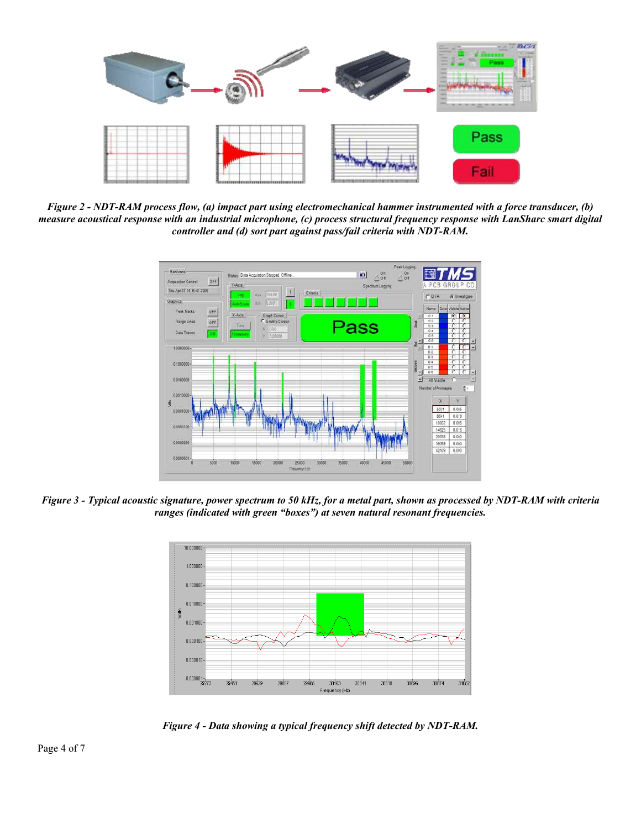

*Figure 2 - NDT-RAM process flow, (a) impact part using electromechanical hammer instrumented with a force transducer, (b) measure acoustical response with an industrial microphone, (c) process structural frequency response with LanSharc smart digital controller and (d) sort part against pass/fail criteria with NDT-RAM.* 



*Figure 3 - Typical acoustic signature, power spectrum to 50 kHz, for a metal part, shown as processed by NDT-RAM with criteria ranges (indicated with green "boxes") at seven natural resonant frequencies.* 



*Figure 4 - Data showing a typical frequency shift detected by NDT-RAM.*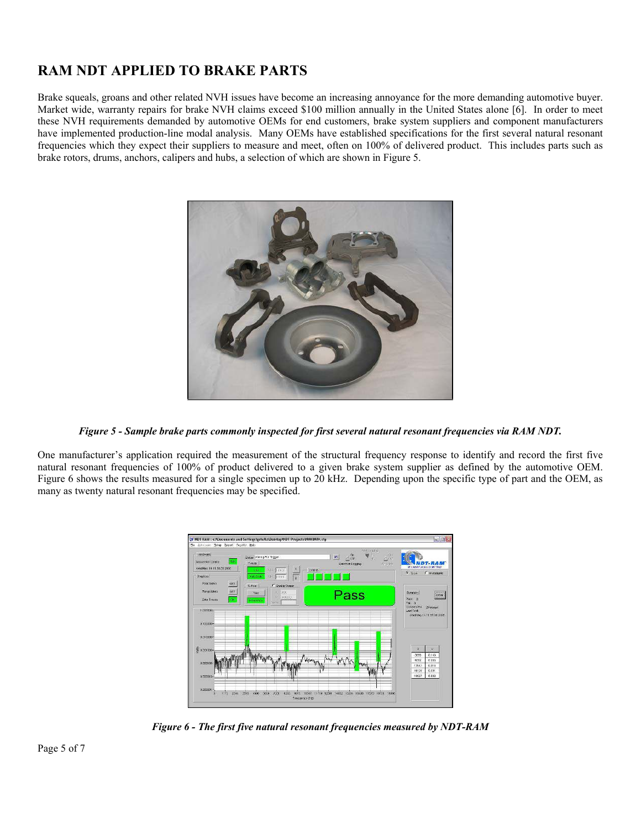### **RAM NDT APPLIED TO BRAKE PARTS**

Brake squeals, groans and other related NVH issues have become an increasing annoyance for the more demanding automotive buyer. Market wide, warranty repairs for brake NVH claims exceed \$100 million annually in the United States alone [6]. In order to meet these NVH requirements demanded by automotive OEMs for end customers, brake system suppliers and component manufacturers have implemented production-line modal analysis. Many OEMs have established specifications for the first several natural resonant frequencies which they expect their suppliers to measure and meet, often on 100% of delivered product. This includes parts such as brake rotors, drums, anchors, calipers and hubs, a selection of which are shown in Figure 5.



*Figure 5 - Sample brake parts commonly inspected for first several natural resonant frequencies via RAM NDT.* 

One manufacturer's application required the measurement of the structural frequency response to identify and record the first five natural resonant frequencies of 100% of product delivered to a given brake system supplier as defined by the automotive OEM. Figure 6 shows the results measured for a single specimen up to 20 kHz. Depending upon the specific type of part and the OEM, as many as twenty natural resonant frequencies may be specified.



*Figure 6 - The first five natural resonant frequencies measured by NDT-RAM*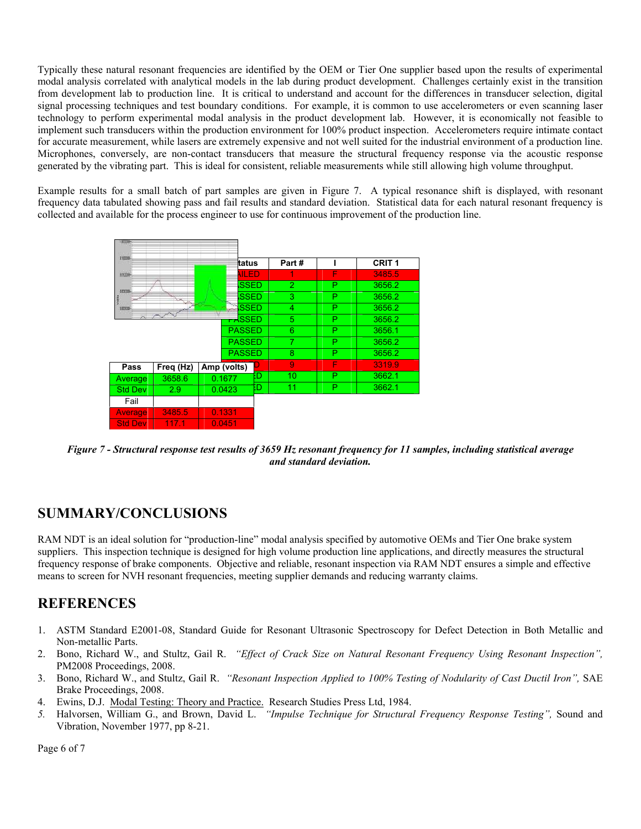Typically these natural resonant frequencies are identified by the OEM or Tier One supplier based upon the results of experimental modal analysis correlated with analytical models in the lab during product development. Challenges certainly exist in the transition from development lab to production line. It is critical to understand and account for the differences in transducer selection, digital signal processing techniques and test boundary conditions. For example, it is common to use accelerometers or even scanning laser technology to perform experimental modal analysis in the product development lab. However, it is economically not feasible to implement such transducers within the production environment for 100% product inspection. Accelerometers require intimate contact for accurate measurement, while lasers are extremely expensive and not well suited for the industrial environment of a production line. Microphones, conversely, are non-contact transducers that measure the structural frequency response via the acoustic response generated by the vibrating part. This is ideal for consistent, reliable measurements while still allowing high volume throughput.

Example results for a small batch of part samples are given in Figure 7. A typical resonance shift is displayed, with resonant frequency data tabulated showing pass and fail results and standard deviation. Statistical data for each natural resonant frequency is collected and available for the process engineer to use for continuous improvement of the production line.

| 1,00000+       |           |             |                             |                |   |                   |
|----------------|-----------|-------------|-----------------------------|----------------|---|-------------------|
| IL STECCCO-    |           |             | ltatus                      | Part#          |   | CRIT <sub>1</sub> |
| 0.0100000-     |           |             | NILED                       | 1              | F | 3485.5            |
| 0.0010000-     |           |             | <b>SSED</b>                 | $\overline{2}$ | P | 3656.2            |
|                |           |             | <b>SSED</b>                 | 3              | P | 3656.2            |
| 0.0001000      |           |             | <b>SSED</b>                 | 4              | P | 3656.2            |
|                |           |             | $\overline{\mathsf{ASSED}}$ | 5              | P | 3656.2            |
|                |           |             | <b>PASSED</b>               | 6              | P | 3656.1            |
|                |           |             | <b>PASSED</b>               | 7              | P | 3656.2            |
|                |           |             | <b>PASSED</b>               | 8              | P | 3656.2            |
| Pass           | Freq (Hz) | Amp (volts) |                             | 9              | F | 3319.9            |
| Average        | 3658.6    | 0.1677      | Ð                           | 10             | P | 3662.1            |
| <b>Std Dev</b> | 2.9       | 0.0423      | ΕD                          | 11             | P | 3662.1            |
| Fail           |           |             |                             |                |   |                   |
| <b>Average</b> | 3485.5    | 0.1331      |                             |                |   |                   |
| <b>Std Dev</b> | 117.1     | 0.0451      |                             |                |   |                   |

*Figure 7 - Structural response test results of 3659 Hz resonant frequency for 11 samples, including statistical average and standard deviation.* 

#### **SUMMARY/CONCLUSIONS**

RAM NDT is an ideal solution for "production-line" modal analysis specified by automotive OEMs and Tier One brake system suppliers. This inspection technique is designed for high volume production line applications, and directly measures the structural frequency response of brake components. Objective and reliable, resonant inspection via RAM NDT ensures a simple and effective means to screen for NVH resonant frequencies, meeting supplier demands and reducing warranty claims.

#### **REFERENCES**

- 1. ASTM Standard E2001-08, Standard Guide for Resonant Ultrasonic Spectroscopy for Defect Detection in Both Metallic and Non-metallic Parts.
- 2. Bono, Richard W., and Stultz, Gail R. *"Effect of Crack Size on Natural Resonant Frequency Using Resonant Inspection",* PM2008 Proceedings, 2008.
- 3. Bono, Richard W., and Stultz, Gail R. *"Resonant Inspection Applied to 100% Testing of Nodularity of Cast Ductil Iron",* SAE Brake Proceedings, 2008.
- 4. Ewins, D.J. Modal Testing: Theory and Practice. Research Studies Press Ltd, 1984.
- *5.* Halvorsen, William G., and Brown, David L. *"Impulse Technique for Structural Frequency Response Testing",* Sound and Vibration, November 1977, pp 8-21.

Page 6 of 7